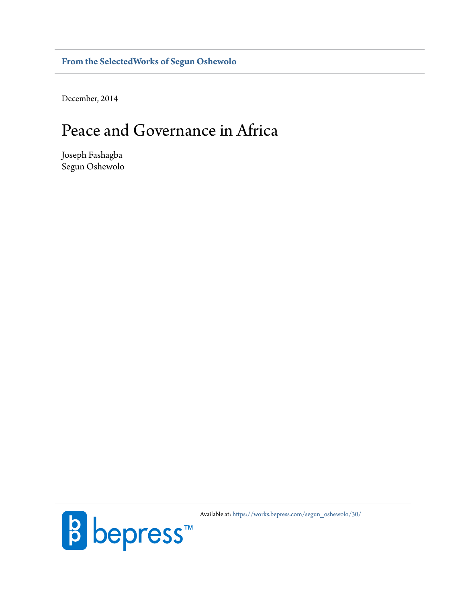**[From the SelectedWorks of Segun Oshewolo](https://works.bepress.com/segun_oshewolo/)**

December, 2014

# Peace and Governance in Africa

Joseph Fashagba Segun Oshewolo



Available at: [https://works.bepress.com/segun\\_oshewolo/30/](https://works.bepress.com/segun_oshewolo/30/)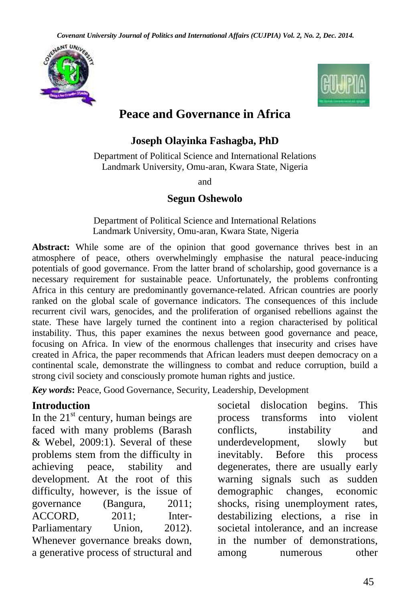



# **Peace and Governance in Africa**

#### **Joseph Olayinka Fashagba, PhD**

Department of Political Science and International Relations Landmark University, Omu-aran, Kwara State, Nigeria

and

#### **Segun Oshewolo**

Department of Political Science and International Relations Landmark University, Omu-aran, Kwara State, Nigeria

Abstract: While some are of the opinion that good governance thrives best in an atmosphere of peace, others overwhelmingly emphasise the natural peace-inducing potentials of good governance. From the latter brand of scholarship, good governance is a necessary requirement for sustainable peace. Unfortunately, the problems confronting Africa in this century are predominantly governance-related. African countries are poorly ranked on the global scale of governance indicators. The consequences of this include recurrent civil wars, genocides, and the proliferation of organised rebellions against the state. These have largely turned the continent into a region characterised by political instability. Thus, this paper examines the nexus between good governance and peace, focusing on Africa. In view of the enormous challenges that insecurity and crises have created in Africa, the paper recommends that African leaders must deepen democracy on a continental scale, demonstrate the willingness to combat and reduce corruption, build a strong civil society and consciously promote human rights and justice.

*Key words***:** Peace, Good Governance, Security, Leadership, Development

#### **Introduction**

In the  $21<sup>st</sup>$  century, human beings are faced with many problems (Barash & Webel, 2009:1). Several of these problems stem from the difficulty in achieving peace, stability and development. At the root of this difficulty, however, is the issue of governance (Bangura, 2011; ACCORD, 2011; Inter-Parliamentary Union, 2012). Whenever governance breaks down, a generative process of structural and societal dislocation begins. This process transforms into violent conflicts, instability and underdevelopment, slowly but inevitably. Before this process degenerates, there are usually early warning signals such as sudden demographic changes, economic shocks, rising unemployment rates, destabilizing elections, a rise in societal intolerance, and an increase in the number of demonstrations, among numerous other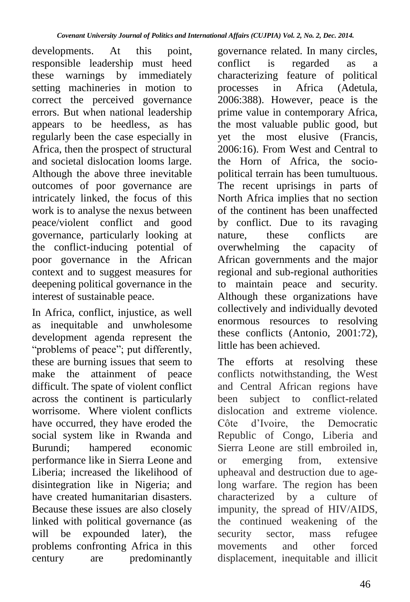developments. At this point, responsible leadership must heed these warnings by immediately setting machineries in motion to correct the perceived governance errors. But when national leadership appears to be heedless, as has regularly been the case especially in Africa, then the prospect of structural and societal dislocation looms large. Although the above three inevitable outcomes of poor governance are intricately linked, the focus of this work is to analyse the nexus between peace/violent conflict and good governance, particularly looking at the conflict-inducing potential of poor governance in the African context and to suggest measures for deepening political governance in the interest of sustainable peace.

In Africa, conflict, injustice, as well as inequitable and unwholesome development agenda represent the "problems of peace"; put differently, these are burning issues that seem to make the attainment of peace difficult. The spate of violent conflict across the continent is particularly worrisome. Where violent conflicts have occurred, they have eroded the social system like in Rwanda and<br>Burundi; hampered economic hampered economic performance like in Sierra Leone and Liberia; increased the likelihood of disintegration like in Nigeria; and have created humanitarian disasters. Because these issues are also closely linked with political governance (as will be expounded later), the problems confronting Africa in this century are predominantly

governance related. In many circles, conflict is regarded as a characterizing feature of political processes in Africa (Adetula, 2006:388). However, peace is the prime value in contemporary Africa, the most valuable public good, but yet the most elusive (Francis, 2006:16). From West and Central to the Horn of Africa, the sociopolitical terrain has been tumultuous. The recent uprisings in parts of North Africa implies that no section of the continent has been unaffected by conflict. Due to its ravaging nature, these conflicts are overwhelming the capacity of African governments and the major regional and sub-regional authorities to maintain peace and security. Although these organizations have collectively and individually devoted enormous resources to resolving these conflicts (Antonio, 2001:72), little has been achieved.

The efforts at resolving these conflicts notwithstanding, the West and Central African regions have been subject to conflict-related dislocation and extreme violence. Côte d"Ivoire, the Democratic Republic of Congo, Liberia and Sierra Leone are still embroiled in,<br>or emerging from, extensive or emerging from, extensive upheaval and destruction due to agelong warfare. The region has been characterized by a culture of impunity, the spread of HIV/AIDS, the continued weakening of the<br>security sector, mass refugee security sector, mass movements and other forced displacement, inequitable and illicit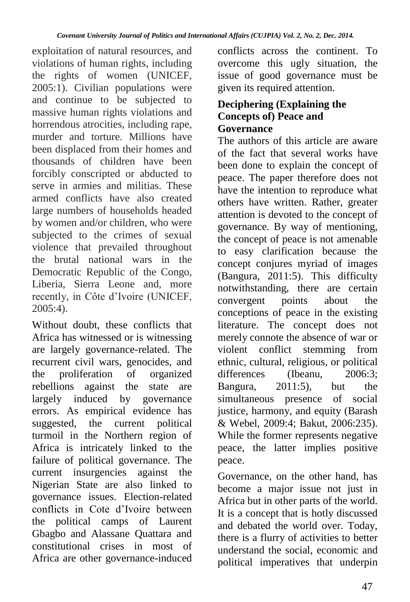exploitation of natural resources, and violations of human rights, including the rights of women (UNICEF, 2005:1). Civilian populations were and continue to be subjected to massive human rights violations and horrendous atrocities, including rape, murder and torture. Millions have been displaced from their homes and thousands of children have been forcibly conscripted or abducted to serve in armies and militias. These armed conflicts have also created large numbers of households headed by women and/or children, who were subjected to the crimes of sexual violence that prevailed throughout the brutal national wars in the Democratic Republic of the Congo, Liberia, Sierra Leone and, more recently, in Côte d"Ivoire (UNICEF, 2005:4).

Without doubt, these conflicts that Africa has witnessed or is witnessing are largely governance-related. The recurrent civil wars, genocides, and<br>the proliferation of organized the proliferation of rebellions against the state are largely induced by governance errors. As empirical evidence has suggested, the current political turmoil in the Northern region of Africa is intricately linked to the failure of political governance. The current insurgencies against the Nigerian State are also linked to governance issues. Election-related conflicts in Cote d"Ivoire between the political camps of Laurent Gbagbo and Alassane Quattara and constitutional crises in most of Africa are other governance-induced conflicts across the continent. To overcome this ugly situation, the issue of good governance must be given its required attention.

#### **Deciphering (Explaining the Concepts of) Peace and Governance**

The authors of this article are aware of the fact that several works have been done to explain the concept of peace. The paper therefore does not have the intention to reproduce what others have written. Rather, greater attention is devoted to the concept of governance. By way of mentioning, the concept of peace is not amenable to easy clarification because the concept conjures myriad of images (Bangura, 2011:5). This difficulty notwithstanding, there are certain convergent points about the conceptions of peace in the existing literature. The concept does not merely connote the absence of war or violent conflict stemming from ethnic, cultural, religious, or political<br>differences (Ibeanu. 2006:3:  $(Ibeanu,$ Bangura, 2011:5), but the simultaneous presence of social justice, harmony, and equity (Barash & Webel, 2009:4; Bakut, 2006:235). While the former represents negative peace, the latter implies positive peace.

Governance, on the other hand, has become a major issue not just in Africa but in other parts of the world. It is a concept that is hotly discussed and debated the world over. Today, there is a flurry of activities to better understand the social, economic and political imperatives that underpin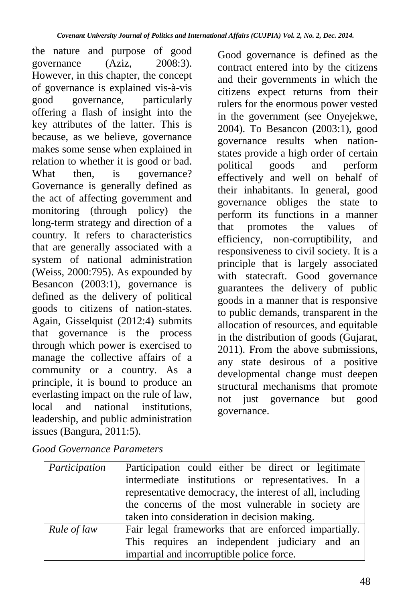the nature and purpose of good governance (Aziz, 2008:3). However, in this chapter, the concept of governance is explained vis-à-vis<br>good governance, particularly good governance, offering a flash of insight into the key attributes of the latter. This is because, as we believe, governance makes some sense when explained in relation to whether it is good or bad. What then, is governance? Governance is generally defined as the act of affecting government and monitoring (through policy) the long-term strategy and direction of a country. It refers to characteristics that are generally associated with a system of national administration (Weiss, 2000:795). As expounded by Besancon (2003:1), governance is defined as the delivery of political goods to citizens of nation-states. Again, Gisselquist (2012:4) submits that governance is the process through which power is exercised to manage the collective affairs of a community or a country. As a principle, it is bound to produce an everlasting impact on the rule of law,<br>local and national institutions. and national institutions, leadership, and public administration issues (Bangura, 2011:5).

Good governance is defined as the contract entered into by the citizens and their governments in which the citizens expect returns from their rulers for the enormous power vested in the government (see Onyejekwe, 2004). To Besancon (2003:1), good governance results when nationstates provide a high order of certain political goods and perform effectively and well on behalf of their inhabitants. In general, good governance obliges the state to perform its functions in a manner<br>that promotes the values of that promotes the values of efficiency, non-corruptibility, and responsiveness to civil society. It is a principle that is largely associated with statecraft. Good governance guarantees the delivery of public goods in a manner that is responsive to public demands, transparent in the allocation of resources, and equitable in the distribution of goods (Gujarat, 2011). From the above submissions, any state desirous of a positive developmental change must deepen structural mechanisms that promote not just governance but good governance.

| Participation | Participation could either be direct or legitimate       |
|---------------|----------------------------------------------------------|
|               | intermediate institutions or representatives. In a       |
|               | representative democracy, the interest of all, including |
|               | the concerns of the most vulnerable in society are       |
|               | taken into consideration in decision making.             |
| Rule of law   | Fair legal frameworks that are enforced impartially.     |
|               | This requires an independent judiciary and an            |
|               | impartial and incorruptible police force.                |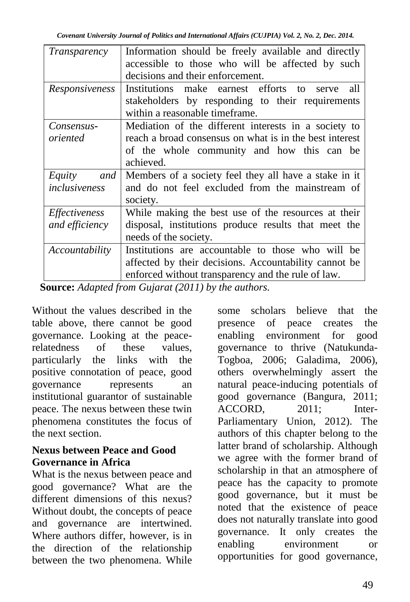| <i>Transparency</i>             | Information should be freely available and directly<br>accessible to those who will be affected by such<br>decisions and their enforcement.                                                                                         |
|---------------------------------|-------------------------------------------------------------------------------------------------------------------------------------------------------------------------------------------------------------------------------------|
| Responsiveness                  | Institutions make earnest efforts to<br>all<br>serve<br>stakeholders by responding to their requirements<br>within a reasonable timeframe.                                                                                          |
| Consensus-<br>oriented          | Mediation of the different interests in a society to<br>reach a broad consensus on what is in the best interest<br>of the whole community and how this can be<br>achieved.                                                          |
| Equity<br>and<br>inclusiveness  | Members of a society feel they all have a stake in it<br>and do not feel excluded from the mainstream of<br>society.                                                                                                                |
| Effectiveness<br>and efficiency | While making the best use of the resources at their<br>disposal, institutions produce results that meet the<br>needs of the society.                                                                                                |
| <i>Accountability</i>           | Institutions are accountable to those who will be<br>affected by their decisions. Accountability cannot be<br>enforced without transparency and the rule of law.<br>$l$ ouroot $l$ donted from $C$ vignot $(2011)$ by the quite one |

 **Source:** *Adapted from Gujarat (2011) by the authors.*

Without the values described in the table above, there cannot be good governance. Looking at the peacerelatedness of these values, particularly the links with the positive connotation of peace, good governance represents an institutional guarantor of sustainable peace. The nexus between these twin phenomena constitutes the focus of the next section.

#### **Nexus between Peace and Good Governance in Africa**

What is the nexus between peace and good governance? What are the different dimensions of this nexus? Without doubt, the concepts of peace and governance are intertwined. Where authors differ, however, is in the direction of the relationship between the two phenomena. While

some scholars believe that the presence of peace creates the enabling environment for good governance to thrive (Natukunda-Togboa, 2006; Galadima, 2006), others overwhelmingly assert the natural peace-inducing potentials of good governance (Bangura, 2011; ACCORD, 2011; Inter-Parliamentary Union, 2012). The authors of this chapter belong to the latter brand of scholarship. Although we agree with the former brand of scholarship in that an atmosphere of peace has the capacity to promote good governance, but it must be noted that the existence of peace does not naturally translate into good governance. It only creates the enabling environment or opportunities for good governance,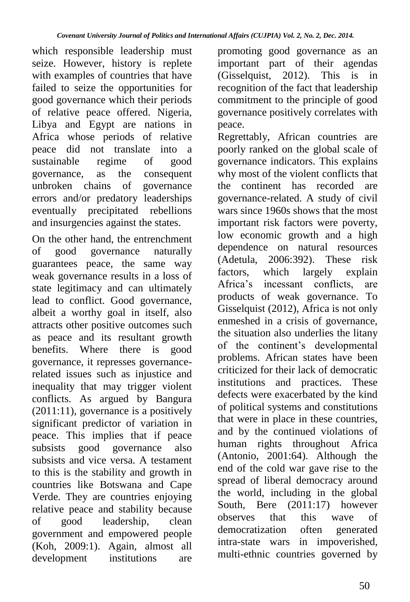which responsible leadership must seize. However, history is replete with examples of countries that have failed to seize the opportunities for good governance which their periods of relative peace offered. Nigeria, Libya and Egypt are nations in Africa whose periods of relative peace did not translate into a sustainable regime of good governance, as the consequent unbroken chains of errors and/or predatory leaderships eventually precipitated rebellions and insurgencies against the states.

On the other hand, the entrenchment of good governance naturally guarantees peace, the same way weak governance results in a loss of state legitimacy and can ultimately lead to conflict. Good governance, albeit a worthy goal in itself, also attracts other positive outcomes such as peace and its resultant growth benefits. Where there is good governance, it represses governancerelated issues such as injustice and inequality that may trigger violent conflicts. As argued by Bangura  $(2011:11)$ , governance is a positively significant predictor of variation in peace. This implies that if peace subsists good governance also subsists and vice versa. A testament to this is the stability and growth in countries like Botswana and Cape Verde. They are countries enjoying relative peace and stability because<br>of good leadership, clean of good leadership, clean government and empowered people (Koh, 2009:1). Again, almost all development institutions are

promoting good governance as an important part of their agendas (Gisselquist, 2012). This is in recognition of the fact that leadership commitment to the principle of good governance positively correlates with peace.

Regrettably, African countries are poorly ranked on the global scale of governance indicators. This explains why most of the violent conflicts that the continent has recorded are governance-related. A study of civil wars since 1960s shows that the most important risk factors were poverty, low economic growth and a high dependence on natural resources (Adetula, 2006:392). These risk factors, which largely explain Africa"s incessant conflicts, are products of weak governance. To Gisselquist (2012), Africa is not only enmeshed in a crisis of governance, the situation also underlies the litany of the continent"s developmental problems. African states have been criticized for their lack of democratic institutions and practices. These defects were exacerbated by the kind of political systems and constitutions that were in place in these countries, and by the continued violations of human rights throughout Africa (Antonio, 2001:64). Although the end of the cold war gave rise to the spread of liberal democracy around the world, including in the global South, Bere (2011:17) however observes that this wave of democratization often generated intra-state wars in impoverished, multi-ethnic countries governed by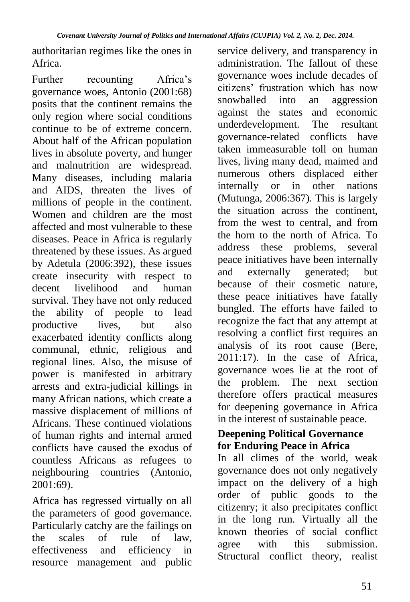authoritarian regimes like the ones in Africa.

Further recounting Africa"s governance woes, Antonio (2001:68) posits that the continent remains the only region where social conditions continue to be of extreme concern. About half of the African population lives in absolute poverty, and hunger and malnutrition are widespread. Many diseases, including malaria and AIDS, threaten the lives of millions of people in the continent. Women and children are the most affected and most vulnerable to these diseases. Peace in Africa is regularly threatened by these issues. As argued by Adetula (2006:392), these issues create insecurity with respect to decent livelihood and human survival. They have not only reduced the ability of people to lead productive lives, but also exacerbated identity conflicts along communal, ethnic, religious and regional lines. Also, the misuse of power is manifested in arbitrary arrests and extra-judicial killings in many African nations, which create a massive displacement of millions of Africans. These continued violations of human rights and internal armed conflicts have caused the exodus of countless Africans as refugees to neighbouring countries (Antonio, 2001:69).

Africa has regressed virtually on all the parameters of good governance. Particularly catchy are the failings on the scales of rule of law, effectiveness and efficiency in resource management and public

service delivery, and transparency in administration. The fallout of these governance woes include decades of citizens' frustration which has now<br>snowballed into an aggression snowballed into an against the states and economic underdevelopment. The resultant governance-related conflicts have taken immeasurable toll on human lives, living many dead, maimed and numerous others displaced either<br>internally or in other nations internally or in (Mutunga, 2006:367). This is largely the situation across the continent, from the west to central, and from the horn to the north of Africa. To address these problems, several peace initiatives have been internally and externally generated; but because of their cosmetic nature, these peace initiatives have fatally bungled. The efforts have failed to recognize the fact that any attempt at resolving a conflict first requires an analysis of its root cause (Bere, 2011:17). In the case of Africa, governance woes lie at the root of the problem. The next section therefore offers practical measures for deepening governance in Africa in the interest of sustainable peace.

#### **Deepening Political Governance for Enduring Peace in Africa**

In all climes of the world, weak governance does not only negatively impact on the delivery of a high order of public goods to the citizenry; it also precipitates conflict in the long run. Virtually all the known theories of social conflict agree with this submission. Structural conflict theory, realist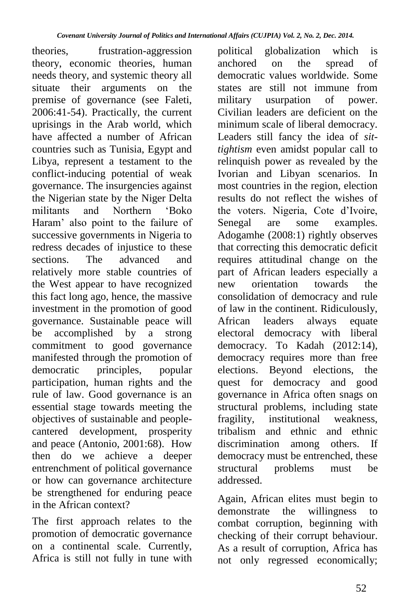theories, frustration-aggression theory, economic theories, human needs theory, and systemic theory all situate their arguments on the premise of governance (see Faleti, 2006:41-54). Practically, the current uprisings in the Arab world, which have affected a number of African countries such as Tunisia, Egypt and Libya, represent a testament to the conflict-inducing potential of weak governance. The insurgencies against the Nigerian state by the Niger Delta militants and Northern "Boko Haram" also point to the failure of successive governments in Nigeria to redress decades of injustice to these sections. The advanced and relatively more stable countries of the West appear to have recognized this fact long ago, hence, the massive investment in the promotion of good governance. Sustainable peace will be accomplished by a strong commitment to good governance manifested through the promotion of democratic principles, popular participation, human rights and the rule of law. Good governance is an essential stage towards meeting the objectives of sustainable and peoplecantered development, prosperity and peace (Antonio, 2001:68). How then do we achieve a deeper entrenchment of political governance or how can governance architecture be strengthened for enduring peace in the African context?

The first approach relates to the promotion of democratic governance on a continental scale. Currently, Africa is still not fully in tune with

political globalization which is anchored on the spread of democratic values worldwide. Some states are still not immune from military usurpation of power. Civilian leaders are deficient on the minimum scale of liberal democracy. Leaders still fancy the idea of *sittightism* even amidst popular call to relinquish power as revealed by the Ivorian and Libyan scenarios. In most countries in the region, election results do not reflect the wishes of the voters. Nigeria, Cote d'Ivoire,<br>Senegal are some examples. examples. Adogamhe (2008:1) rightly observes that correcting this democratic deficit requires attitudinal change on the part of African leaders especially a<br>new orientation towards the new orientation towards the consolidation of democracy and rule of law in the continent. Ridiculously, African leaders always equate electoral democracy with liberal democracy. To Kadah (2012:14), democracy requires more than free elections. Beyond elections, the quest for democracy and good governance in Africa often snags on structural problems, including state fragility, institutional weakness, tribalism and ethnic and ethnic discrimination among others. If democracy must be entrenched, these structural problems must be addressed.

Again, African elites must begin to demonstrate the willingness to combat corruption, beginning with checking of their corrupt behaviour. As a result of corruption, Africa has not only regressed economically;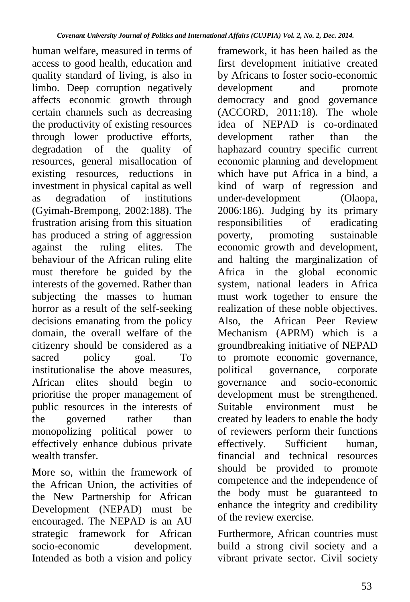human welfare, measured in terms of access to good health, education and quality standard of living, is also in limbo. Deep corruption negatively affects economic growth through certain channels such as decreasing the productivity of existing resources through lower productive efforts, degradation of the quality of resources, general misallocation of existing resources, reductions in investment in physical capital as well as degradation of institutions (Gyimah-Brempong, 2002:188). The frustration arising from this situation has produced a string of aggression against the ruling elites. The behaviour of the African ruling elite must therefore be guided by the interests of the governed. Rather than subjecting the masses to human horror as a result of the self-seeking decisions emanating from the policy domain, the overall welfare of the citizenry should be considered as a sacred policy goal. To institutionalise the above measures, African elites should begin to prioritise the proper management of public resources in the interests of the governed rather than monopolizing political power to effectively enhance dubious private wealth transfer.

More so, within the framework of the African Union, the activities of the New Partnership for African Development (NEPAD) must be encouraged. The NEPAD is an AU strategic framework for African socio-economic development. Intended as both a vision and policy

framework, it has been hailed as the first development initiative created by Africans to foster socio-economic development and promote democracy and good governance (ACCORD, 2011:18). The whole idea of NEPAD is co-ordinated development rather than the haphazard country specific current economic planning and development which have put Africa in a bind, a kind of warp of regression and<br>under-development (Olaopa, under-development 2006:186). Judging by its primary<br>responsibilities of eradicating responsibilities of promoting promoting sustainable economic growth and development, and halting the marginalization of Africa in the global economic system, national leaders in Africa must work together to ensure the realization of these noble objectives. Also, the African Peer Review Mechanism (APRM) which is a groundbreaking initiative of NEPAD to promote economic governance, political governance, corporate<br>governance and socio-economic  $\arccos$  and  $\arccos$ -economic development must be strengthened. Suitable environment must be created by leaders to enable the body of reviewers perform their functions<br>effectively. Sufficient human.  $effectively.$  Sufficient financial and technical resources should be provided to promote competence and the independence of the body must be guaranteed to enhance the integrity and credibility of the review exercise.

Furthermore, African countries must build a strong civil society and a vibrant private sector. Civil society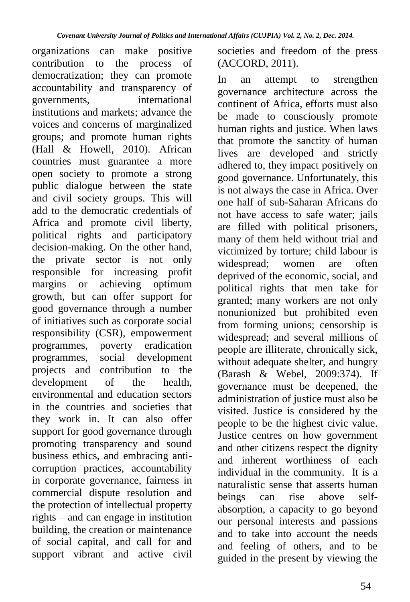organizations can make positive contribution to the process of democratization; they can promote accountability and transparency of<br>governments. international governments, institutions and markets; advance the voices and concerns of marginalized groups; and promote human rights (Hall & Howell, 2010). African countries must guarantee a more open society to promote a strong public dialogue between the state and civil society groups. This will add to the democratic credentials of Africa and promote civil liberty, political rights and participatory decision-making. On the other hand, the private sector is not only responsible for increasing profit margins or achieving optimum growth, but can offer support for good governance through a number of initiatives such as corporate social responsibility (CSR), empowerment programmes, poverty eradication programmes, social development projects and contribution to the<br>development of the health, development environmental and education sectors in the countries and societies that they work in. It can also offer support for good governance through promoting transparency and sound business ethics, and embracing anticorruption practices, accountability in corporate governance, fairness in commercial dispute resolution and the protection of intellectual property rights – and can engage in institution building, the creation or maintenance of social capital, and call for and support vibrant and active civil

societies and freedom of the press (ACCORD, 2011).

In an attempt to strengthen governance architecture across the continent of Africa, efforts must also be made to consciously promote human rights and justice. When laws that promote the sanctity of human lives are developed and strictly adhered to, they impact positively on good governance. Unfortunately, this is not always the case in Africa. Over one half of sub-Saharan Africans do not have access to safe water; jails are filled with political prisoners, many of them held without trial and victimized by torture; child labour is widespread; women are often deprived of the economic, social, and political rights that men take for granted; many workers are not only nonunionized but prohibited even from forming unions; censorship is widespread; and several millions of people are illiterate, chronically sick, without adequate shelter, and hungry (Barash & Webel, 2009:374). If governance must be deepened, the administration of justice must also be visited. Justice is considered by the people to be the highest civic value. Justice centres on how government and other citizens respect the dignity and inherent worthiness of each individual in the community. It is a naturalistic sense that asserts human beings can rise above selfabsorption, a capacity to go beyond our personal interests and passions and to take into account the needs and feeling of others, and to be guided in the present by viewing the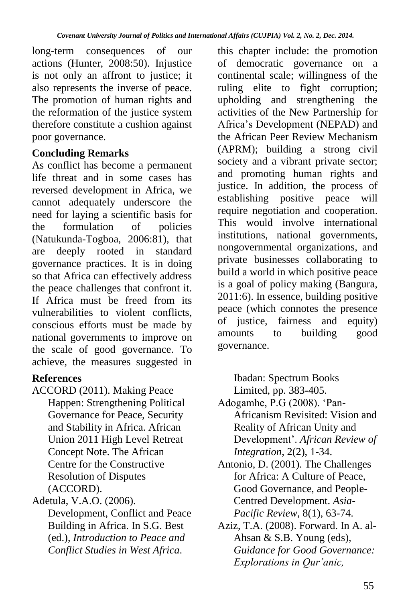long-term consequences of our actions (Hunter, 2008:50). Injustice is not only an affront to justice; it also represents the inverse of peace. The promotion of human rights and the reformation of the justice system therefore constitute a cushion against poor governance.

## **Concluding Remarks**

As conflict has become a permanent life threat and in some cases has reversed development in Africa, we cannot adequately underscore the need for laying a scientific basis for<br>the formulation of policies the formulation of (Natukunda-Togboa, 2006:81), that<br>are deeply rooted in standard  $\alpha$  are deeply rooted in governance practices. It is in doing so that Africa can effectively address the peace challenges that confront it. If Africa must be freed from its vulnerabilities to violent conflicts, conscious efforts must be made by national governments to improve on the scale of good governance. To achieve, the measures suggested in

## **References**

ACCORD (2011). Making Peace Happen: Strengthening Political Governance for Peace, Security and Stability in Africa. African Union 2011 High Level Retreat Concept Note. The African Centre for the Constructive Resolution of Disputes (ACCORD).

Adetula, V.A.O. (2006).

Development, Conflict and Peace Building in Africa. In S.G. Best (ed.), *Introduction to Peace and Conflict Studies in West Africa*.

this chapter include: the promotion of democratic governance on a continental scale; willingness of the ruling elite to fight corruption; upholding and strengthening the activities of the New Partnership for Africa"s Development (NEPAD) and the African Peer Review Mechanism (APRM); building a strong civil society and a vibrant private sector; and promoting human rights and justice. In addition, the process of establishing positive peace will require negotiation and cooperation. This would involve international institutions, national governments, nongovernmental organizations, and private businesses collaborating to build a world in which positive peace is a goal of policy making (Bangura, 2011:6). In essence, building positive peace (which connotes the presence of justice, fairness and equity) amounts to building good governance.

Ibadan: Spectrum Books Limited, pp. 383-405.

- Adogamhe, P.G (2008). "Pan-Africanism Revisited: Vision and Reality of African Unity and Development". *African Review of Integration*, 2(2), 1-34.
- Antonio, D. (2001). The Challenges for Africa: A Culture of Peace, Good Governance, and People-Centred Development. *Asia-Pacific Review*, 8(1), 63-74.
- Aziz, T.A. (2008). Forward. In A. al-Ahsan & S.B. Young (eds), *Guidance for Good Governance: Explorations in Qur'anic,*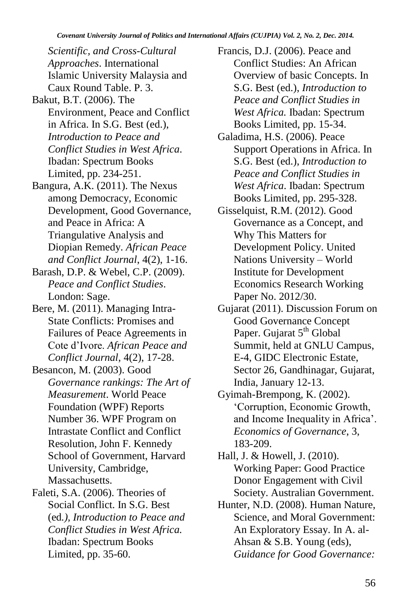*Scientific, and Cross-Cultural Approaches*. International Islamic University Malaysia and Caux Round Table. P. 3.

- Bakut, B.T. (2006). The Environment, Peace and Conflict in Africa. In S.G. Best (ed.), *Introduction to Peace and Conflict Studies in West Africa*. Ibadan: Spectrum Books Limited, pp. 234-251.
- Bangura, A.K. (2011). The Nexus among Democracy, Economic Development, Good Governance, and Peace in Africa: A Triangulative Analysis and Diopian Remedy. *African Peace and Conflict Journal*, 4(2), 1-16.
- Barash, D.P. & Webel, C.P. (2009). *Peace and Conflict Studies*. London: Sage.
- Bere, M. (2011). Managing Intra-State Conflicts: Promises and Failures of Peace Agreements in Cote d"Ivore. *African Peace and Conflict Journal*, 4(2), 17-28.
- Besancon, M. (2003). Good *Governance rankings: The Art of Measurement*. World Peace Foundation (WPF) Reports Number 36. WPF Program on Intrastate Conflict and Conflict Resolution, John F. Kennedy School of Government, Harvard University, Cambridge, Massachusetts.
- Faleti, S.A. (2006). Theories of Social Conflict. In S.G. Best (ed*.), Introduction to Peace and Conflict Studies in West Africa.* Ibadan: Spectrum Books Limited, pp. 35-60.
- Francis, D.J. (2006). Peace and Conflict Studies: An African Overview of basic Concepts. In S.G. Best (ed.), *Introduction to Peace and Conflict Studies in West Africa.* Ibadan: Spectrum Books Limited, pp. 15-34.
- Galadima, H.S. (2006). Peace Support Operations in Africa. In S.G. Best (ed.), *Introduction to Peace and Conflict Studies in West Africa*. Ibadan: Spectrum Books Limited, pp. 295-328.
- Gisselquist, R.M. (2012). Good Governance as a Concept, and Why This Matters for Development Policy. United Nations University – World Institute for Development Economics Research Working Paper No. 2012/30.
- Gujarat (2011). Discussion Forum on Good Governance Concept Paper. Gujarat 5<sup>th</sup> Global Summit, held at GNLU Campus, E-4, GIDC Electronic Estate, Sector 26, Gandhinagar, Gujarat, India, January 12-13.
- Gyimah-Brempong, K. (2002). "Corruption, Economic Growth, and Income Inequality in Africa". *Economics of Governance*, 3, 183-209.
- Hall, J. & Howell, J. (2010). Working Paper: Good Practice Donor Engagement with Civil Society. Australian Government.
- Hunter, N.D. (2008). Human Nature, Science, and Moral Government: An Exploratory Essay. In A. al-Ahsan & S.B. Young (eds), *Guidance for Good Governance:*